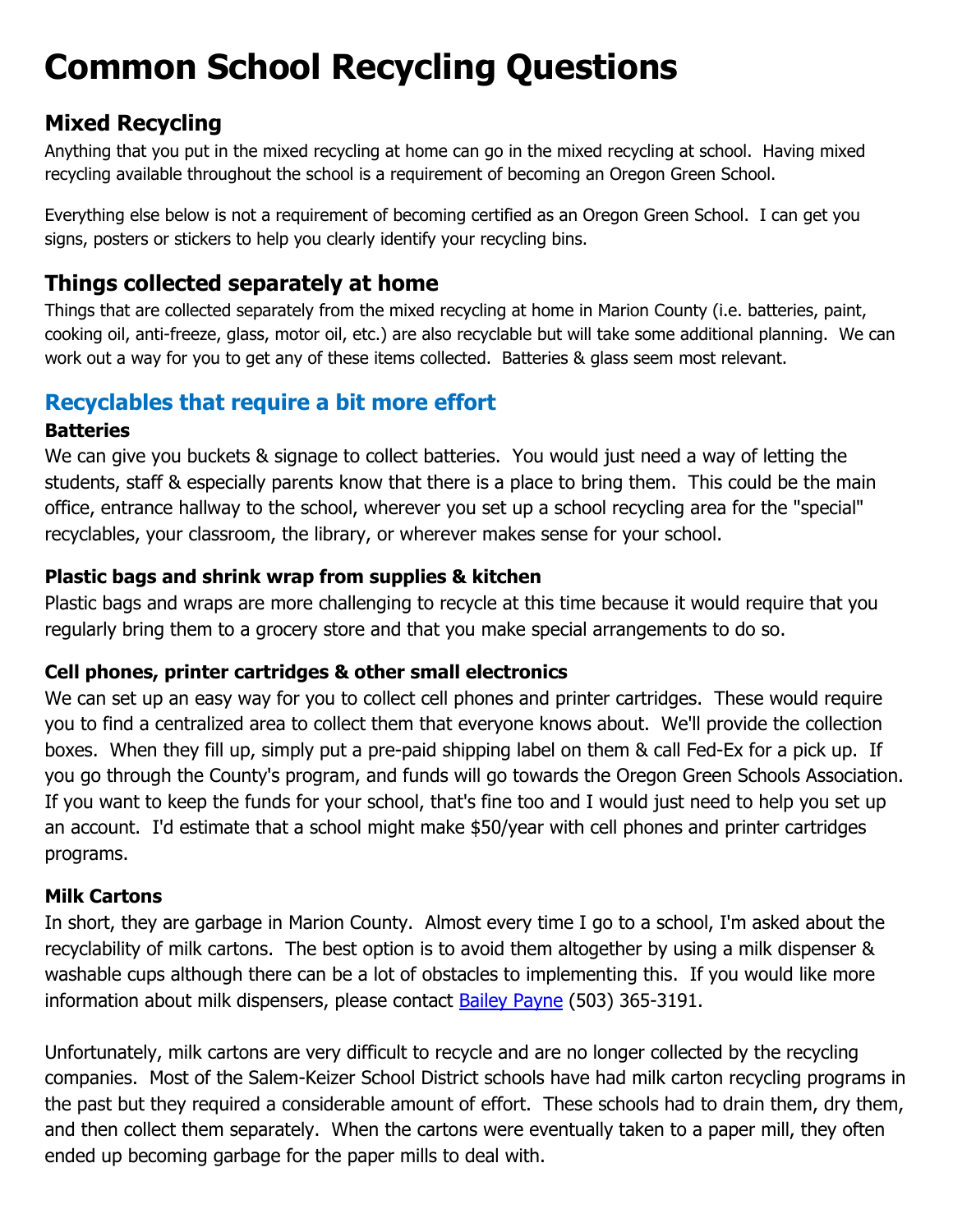# **Common School Recycling Questions**

# **Mixed Recycling**

Anything that you put in the mixed recycling at home can go in the mixed recycling at school. Having mixed recycling available throughout the school is a requirement of becoming an Oregon Green School.

Everything else below is not a requirement of becoming certified as an Oregon Green School. I can get you signs, posters or stickers to help you clearly identify your recycling bins.

# **Things collected separately at home**

Things that are collected separately from the mixed recycling at home in Marion County (i.e. batteries, paint, cooking oil, anti-freeze, glass, motor oil, etc.) are also recyclable but will take some additional planning. We can work out a way for you to get any of these items collected. Batteries & glass seem most relevant.

# **Recyclables that require a bit more effort**

# **Batteries**

We can give you buckets & signage to collect batteries. You would just need a way of letting the students, staff & especially parents know that there is a place to bring them. This could be the main office, entrance hallway to the school, wherever you set up a school recycling area for the "special" recyclables, your classroom, the library, or wherever makes sense for your school.

# **Plastic bags and shrink wrap from supplies & kitchen**

Plastic bags and wraps are more challenging to recycle at this time because it would require that you regularly bring them to a grocery store and that you make special arrangements to do so.

# **Cell phones, printer cartridges & other small electronics**

We can set up an easy way for you to collect cell phones and printer cartridges. These would require you to find a centralized area to collect them that everyone knows about. We'll provide the collection boxes. When they fill up, simply put a pre-paid shipping label on them & call Fed-Ex for a pick up. If you go through the County's program, and funds will go towards the Oregon Green Schools Association. If you want to keep the funds for your school, that's fine too and I would just need to help you set up an account. I'd estimate that a school might make \$50/year with cell phones and printer cartridges programs.

# **Milk Cartons**

In short, they are garbage in Marion County. Almost every time I go to a school, I'm asked about the recyclability of milk cartons. The best option is to avoid them altogether by using a milk dispenser & washable cups although there can be a lot of obstacles to implementing this. If you would like more information about milk dispensers, please contact **Bailey Payne** (503) 365-3191.

Unfortunately, milk cartons are very difficult to recycle and are no longer collected by the recycling companies. Most of the Salem-Keizer School District schools have had milk carton recycling programs in the past but they required a considerable amount of effort. These schools had to drain them, dry them, and then collect them separately. When the cartons were eventually taken to a paper mill, they often ended up becoming garbage for the paper mills to deal with.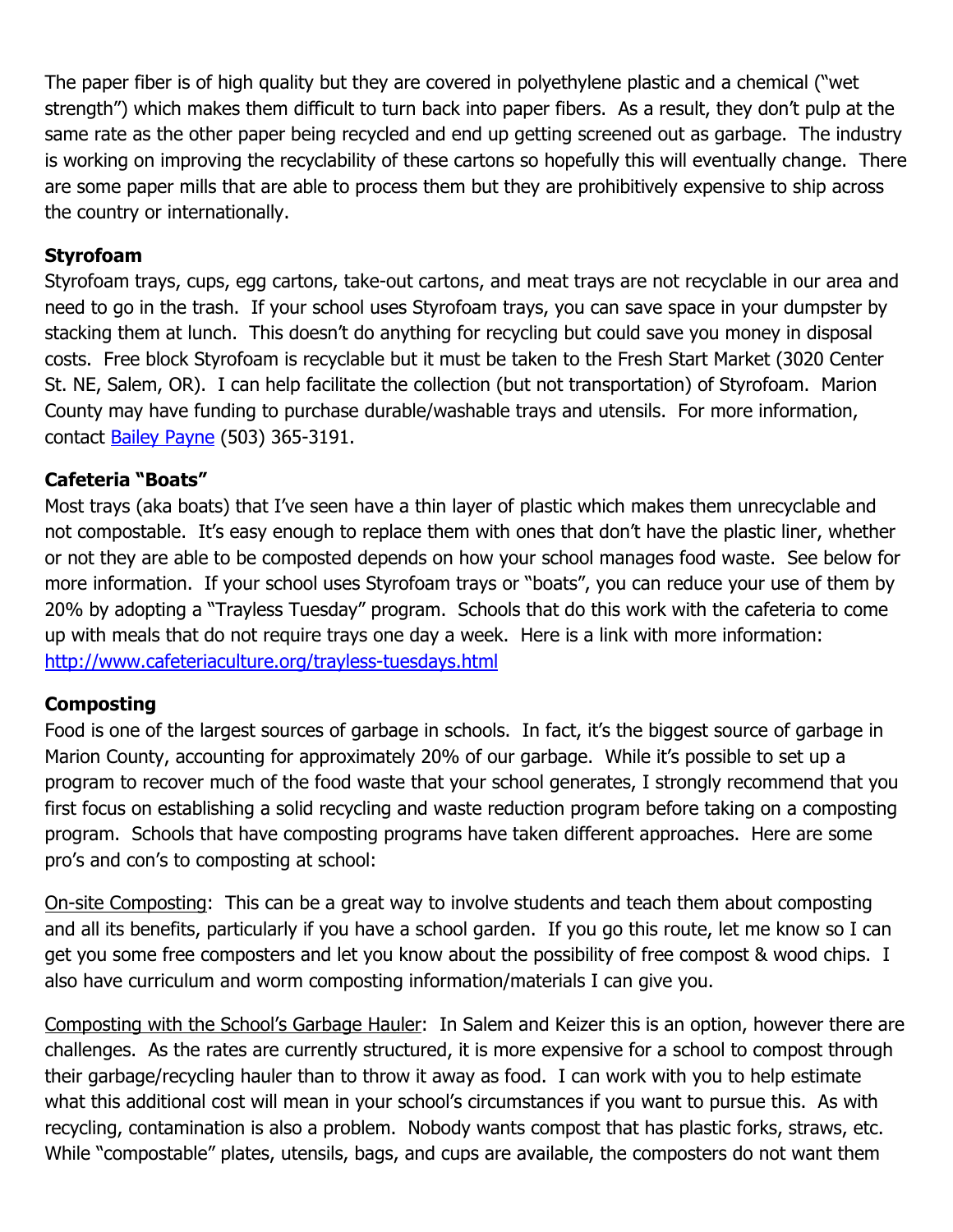The paper fiber is of high quality but they are covered in polyethylene plastic and a chemical ("wet strength") which makes them difficult to turn back into paper fibers. As a result, they don't pulp at the same rate as the other paper being recycled and end up getting screened out as garbage. The industry is working on improving the recyclability of these cartons so hopefully this will eventually change. There are some paper mills that are able to process them but they are prohibitively expensive to ship across the country or internationally.

# **Styrofoam**

Styrofoam trays, cups, egg cartons, take-out cartons, and meat trays are not recyclable in our area and need to go in the trash. If your school uses Styrofoam trays, you can save space in your dumpster by stacking them at lunch. This doesn't do anything for recycling but could save you money in disposal costs. Free block Styrofoam is recyclable but it must be taken to the Fresh Start Market (3020 Center St. NE, Salem, OR). I can help facilitate the collection (but not transportation) of Styrofoam. Marion County may have funding to purchase durable/washable trays and utensils. For more information, contact [Bailey Payne](mailto:bpayne@co.marion.or.us) (503) 365-3191.

# **Cafeteria "Boats"**

Most trays (aka boats) that I've seen have a thin layer of plastic which makes them unrecyclable and not compostable. It's easy enough to replace them with ones that don't have the plastic liner, whether or not they are able to be composted depends on how your school manages food waste. See below for more information. If your school uses Styrofoam trays or "boats", you can reduce your use of them by 20% by adopting a "Trayless Tuesday" program. Schools that do this work with the cafeteria to come up with meals that do not require trays one day a week. Here is a link with more information: <http://www.cafeteriaculture.org/trayless-tuesdays.html>

# **Composting**

Food is one of the largest sources of garbage in schools. In fact, it's the biggest source of garbage in Marion County, accounting for approximately 20% of our garbage. While it's possible to set up a program to recover much of the food waste that your school generates, I strongly recommend that you first focus on establishing a solid recycling and waste reduction program before taking on a composting program. Schools that have composting programs have taken different approaches. Here are some pro's and con's to composting at school:

On-site Composting: This can be a great way to involve students and teach them about composting and all its benefits, particularly if you have a school garden. If you go this route, let me know so I can get you some free composters and let you know about the possibility of free compost & wood chips. I also have curriculum and worm composting information/materials I can give you.

Composting with the School's Garbage Hauler: In Salem and Keizer this is an option, however there are challenges. As the rates are currently structured, it is more expensive for a school to compost through their garbage/recycling hauler than to throw it away as food. I can work with you to help estimate what this additional cost will mean in your school's circumstances if you want to pursue this. As with recycling, contamination is also a problem. Nobody wants compost that has plastic forks, straws, etc. While "compostable" plates, utensils, bags, and cups are available, the composters do not want them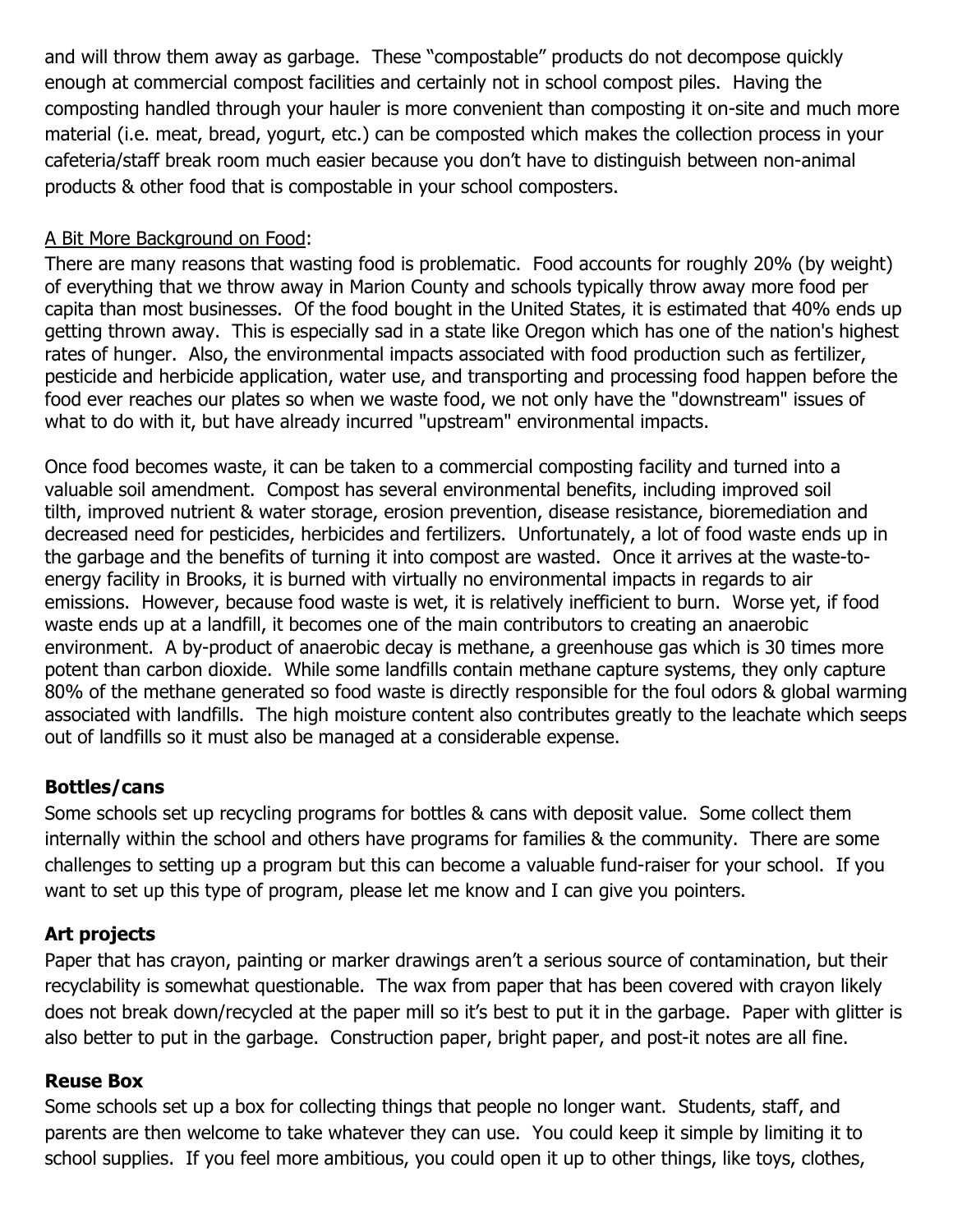and will throw them away as garbage. These "compostable" products do not decompose quickly enough at commercial compost facilities and certainly not in school compost piles. Having the composting handled through your hauler is more convenient than composting it on-site and much more material (i.e. meat, bread, yogurt, etc.) can be composted which makes the collection process in your cafeteria/staff break room much easier because you don't have to distinguish between non-animal products & other food that is compostable in your school composters.

# A Bit More Background on Food:

There are many reasons that wasting food is problematic. Food accounts for roughly 20% (by weight) of everything that we throw away in Marion County and schools typically throw away more food per capita than most businesses. Of the food bought in the United States, it is estimated that 40% ends up getting thrown away. This is especially sad in a state like Oregon which has one of the nation's highest rates of hunger. Also, the environmental impacts associated with food production such as fertilizer, pesticide and herbicide application, water use, and transporting and processing food happen before the food ever reaches our plates so when we waste food, we not only have the "downstream" issues of what to do with it, but have already incurred "upstream" environmental impacts.

Once food becomes waste, it can be taken to a commercial composting facility and turned into a valuable soil amendment. Compost has several environmental benefits, including improved soil tilth, improved nutrient & water storage, erosion prevention, disease resistance, bioremediation and decreased need for pesticides, herbicides and fertilizers. Unfortunately, a lot of food waste ends up in the garbage and the benefits of turning it into compost are wasted. Once it arrives at the waste-toenergy facility in Brooks, it is burned with virtually no environmental impacts in regards to air emissions. However, because food waste is wet, it is relatively inefficient to burn. Worse yet, if food waste ends up at a landfill, it becomes one of the main contributors to creating an anaerobic environment. A by-product of anaerobic decay is methane, a greenhouse gas which is 30 times more potent than carbon dioxide. While some landfills contain methane capture systems, they only capture 80% of the methane generated so food waste is directly responsible for the foul odors & global warming associated with landfills. The high moisture content also contributes greatly to the leachate which seeps out of landfills so it must also be managed at a considerable expense.

# **Bottles/cans**

Some schools set up recycling programs for bottles & cans with deposit value. Some collect them internally within the school and others have programs for families & the community. There are some challenges to setting up a program but this can become a valuable fund-raiser for your school. If you want to set up this type of program, please let me know and I can give you pointers.

# **Art projects**

Paper that has crayon, painting or marker drawings aren't a serious source of contamination, but their recyclability is somewhat questionable. The wax from paper that has been covered with crayon likely does not break down/recycled at the paper mill so it's best to put it in the garbage. Paper with glitter is also better to put in the garbage. Construction paper, bright paper, and post-it notes are all fine.

# **Reuse Box**

Some schools set up a box for collecting things that people no longer want. Students, staff, and parents are then welcome to take whatever they can use. You could keep it simple by limiting it to school supplies. If you feel more ambitious, you could open it up to other things, like toys, clothes,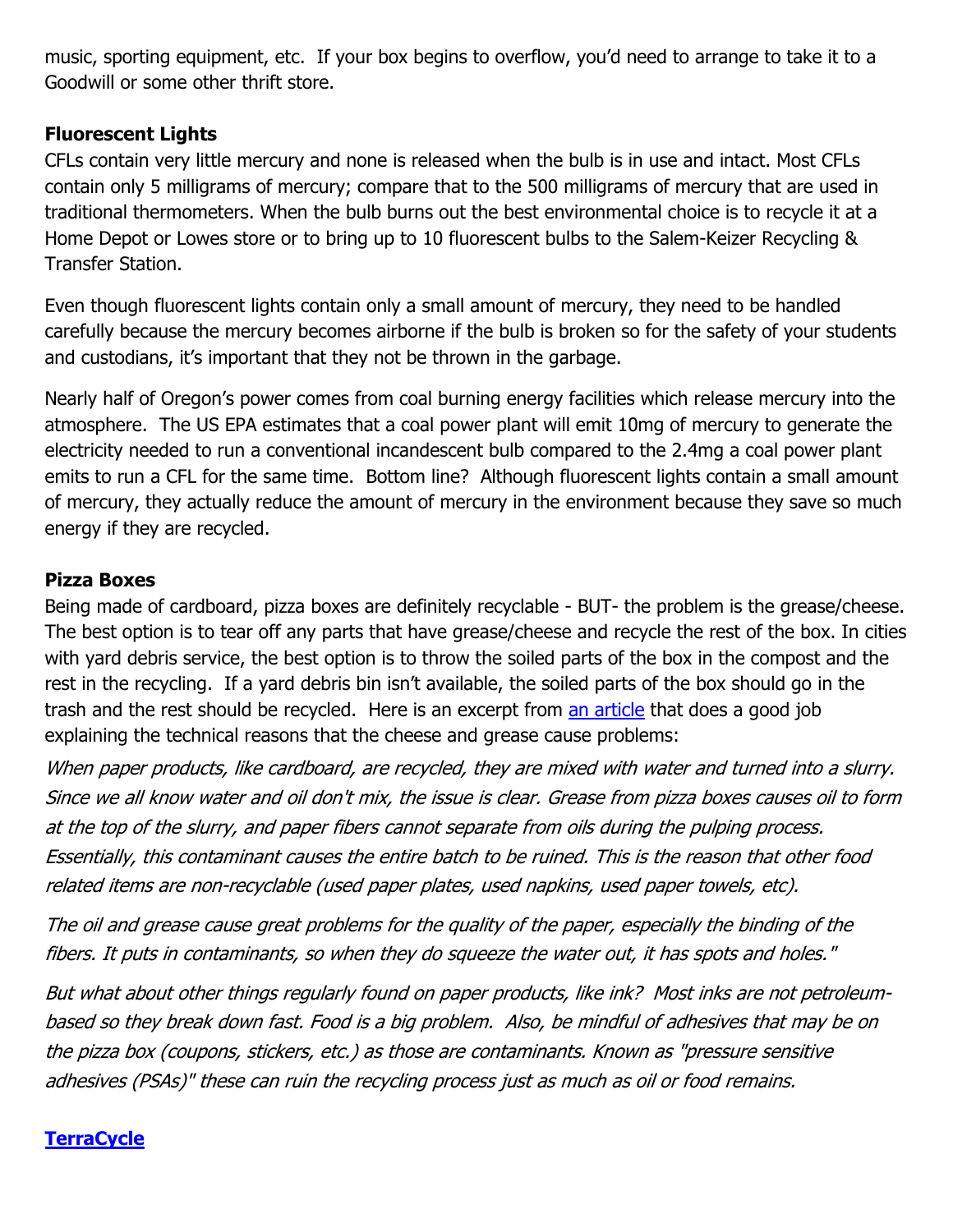music, sporting equipment, etc. If your box begins to overflow, you'd need to arrange to take it to a Goodwill or some other thrift store.

#### **Fluorescent Lights**

CFLs contain very little mercury and none is released when the bulb is in use and intact. Most CFLs contain only 5 milligrams of mercury; compare that to the 500 milligrams of mercury that are used in traditional thermometers. When the bulb burns out the best environmental choice is to recycle it at a Home Depot or Lowes store or to bring up to 10 fluorescent bulbs to the Salem-Keizer Recycling & Transfer Station.

Even though fluorescent lights contain only a small amount of mercury, they need to be handled carefully because the mercury becomes airborne if the bulb is broken so for the safety of your students and custodians, it's important that they not be thrown in the garbage.

Nearly half of Oregon's power comes from coal burning energy facilities which release mercury into the atmosphere. The US EPA estimates that a coal power plant will emit 10mg of mercury to generate the electricity needed to run a conventional incandescent bulb compared to the 2.4mg a coal power plant emits to run a CFL for the same time. Bottom line? Although fluorescent lights contain a small amount of mercury, they actually reduce the amount of mercury in the environment because they save so much energy if they are recycled.

#### **Pizza Boxes**

Being made of cardboard, pizza boxes are definitely recyclable - BUT- the problem is the grease/cheese. The best option is to tear off any parts that have grease/cheese and recycle the rest of the box. In cities with yard debris service, the best option is to throw the soiled parts of the box in the compost and the rest in the recycling. If a yard debris bin isn't available, the soiled parts of the box should go in the trash and the rest should be recycled. Here is an excerpt from [an article](http://www.earth911.com/food/the-pizza-box-mystery) that does a good job explaining the technical reasons that the cheese and grease cause problems:

When paper products, like cardboard, are recycled, they are mixed with water and turned into a slurry. Since we all know water and oil don't mix, the issue is clear. Grease from pizza boxes causes oil to form at the top of the slurry, and paper fibers cannot separate from oils during the pulping process. Essentially, this contaminant causes the entire batch to be ruined. This is the reason that other food related items are non-recyclable (used paper plates, used napkins, used paper [towels,](http://www.earth911.com/food/the-pizza-box-mystery/) etc).

The oil and grease cause great problems for the quality of the paper, especially the binding of the fibers. It puts in contaminants, so when they do squeeze the water out, it has spots and holes."

But what about other things regularly found on paper products, like ink? Most inks are not petroleumbased so they break down fast. Food is a big problem. Also, be mindful of adhesives that may be on the pizza box (coupons, stickers, etc.) as those are contaminants. Known as "pressure sensitive adhesives (PSAs)" these can ruin the recycling process just as much as oil or food remains.

# **[TerraCycle](https://www.terracycle.com/en-US/about-terracycle?utm_campaign=admittance&utm_medium=menu&utm_source=www.terracycle.com)**